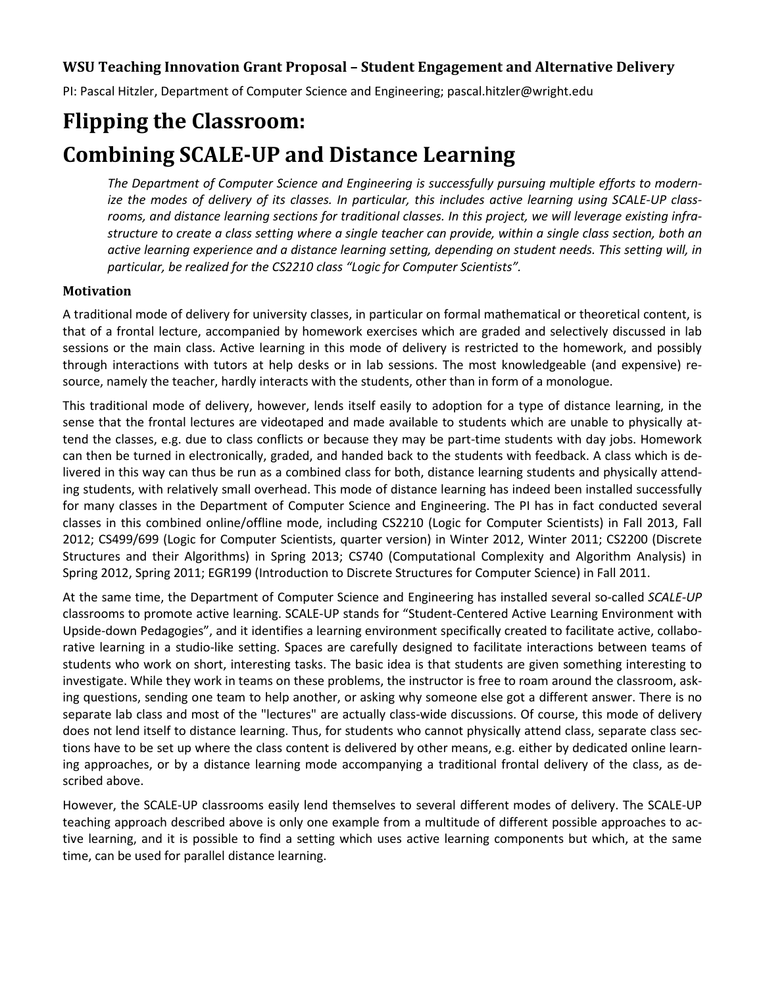# **WSU Teaching Innovation Grant Proposal – Student Engagement and Alternative Delivery**

PI: Pascal Hitzler, Department of Computer Science and Engineering; pascal.hitzler@wright.edu

# **Flipping the Classroom: Combining SCALE-UP and Distance Learning**

*The Department of Computer Science and Engineering is successfully pursuing multiple efforts to modernize the modes of delivery of its classes. In particular, this includes active learning using SCALE-UP classrooms, and distance learning sections for traditional classes. In this project, we will leverage existing infrastructure to create a class setting where a single teacher can provide, within a single class section, both an active learning experience and a distance learning setting, depending on student needs. This setting will, in particular, be realized for the CS2210 class "Logic for Computer Scientists".*

#### **Motivation**

A traditional mode of delivery for university classes, in particular on formal mathematical or theoretical content, is that of a frontal lecture, accompanied by homework exercises which are graded and selectively discussed in lab sessions or the main class. Active learning in this mode of delivery is restricted to the homework, and possibly through interactions with tutors at help desks or in lab sessions. The most knowledgeable (and expensive) resource, namely the teacher, hardly interacts with the students, other than in form of a monologue.

This traditional mode of delivery, however, lends itself easily to adoption for a type of distance learning, in the sense that the frontal lectures are videotaped and made available to students which are unable to physically attend the classes, e.g. due to class conflicts or because they may be part-time students with day jobs. Homework can then be turned in electronically, graded, and handed back to the students with feedback. A class which is delivered in this way can thus be run as a combined class for both, distance learning students and physically attending students, with relatively small overhead. This mode of distance learning has indeed been installed successfully for many classes in the Department of Computer Science and Engineering. The PI has in fact conducted several classes in this combined online/offline mode, including CS2210 (Logic for Computer Scientists) in Fall 2013, Fall 2012; CS499/699 (Logic for Computer Scientists, quarter version) in Winter 2012, Winter 2011; CS2200 (Discrete Structures and their Algorithms) in Spring 2013; CS740 (Computational Complexity and Algorithm Analysis) in Spring 2012, Spring 2011; EGR199 (Introduction to Discrete Structures for Computer Science) in Fall 2011.

At the same time, the Department of Computer Science and Engineering has installed several so-called *SCALE-UP* classrooms to promote active learning. SCALE-UP stands for "Student-Centered Active Learning Environment with Upside-down Pedagogies", and it identifies a learning environment specifically created to facilitate active, collaborative learning in a studio-like setting. Spaces are carefully designed to facilitate interactions between teams of students who work on short, interesting tasks. The basic idea is that students are given something interesting to investigate. While they work in teams on these problems, the instructor is free to roam around the classroom, asking questions, sending one team to help another, or asking why someone else got a different answer. There is no separate lab class and most of the "lectures" are actually class-wide discussions. Of course, this mode of delivery does not lend itself to distance learning. Thus, for students who cannot physically attend class, separate class sections have to be set up where the class content is delivered by other means, e.g. either by dedicated online learning approaches, or by a distance learning mode accompanying a traditional frontal delivery of the class, as described above.

However, the SCALE-UP classrooms easily lend themselves to several different modes of delivery. The SCALE-UP teaching approach described above is only one example from a multitude of different possible approaches to active learning, and it is possible to find a setting which uses active learning components but which, at the same time, can be used for parallel distance learning.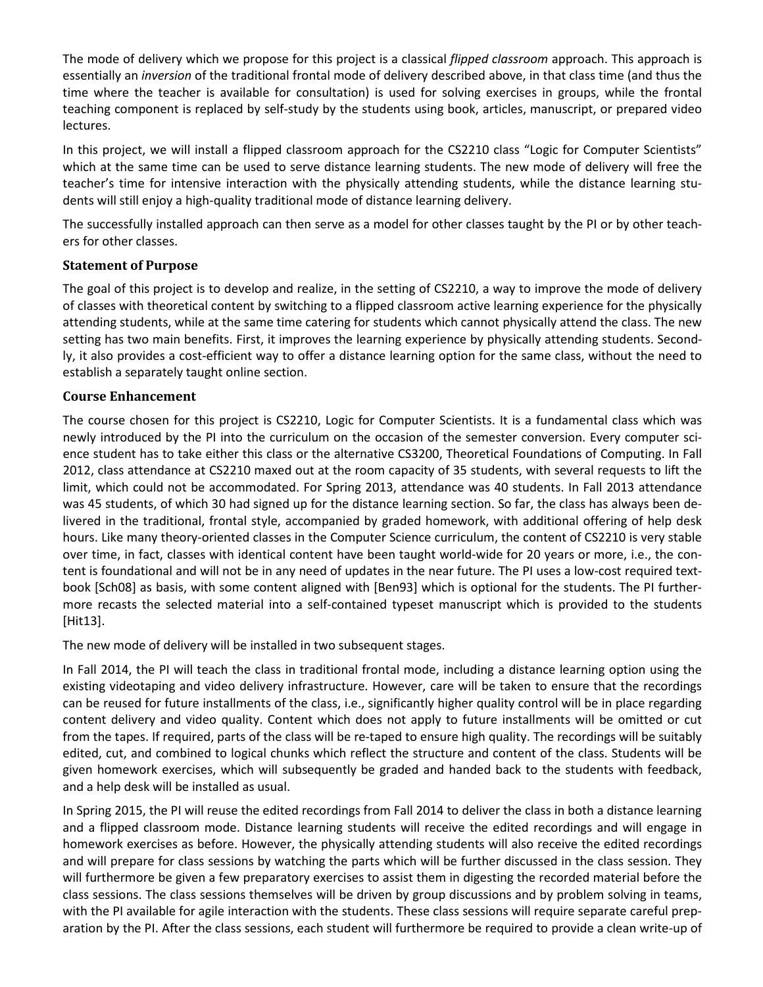The mode of delivery which we propose for this project is a classical *flipped classroom* approach. This approach is essentially an *inversion* of the traditional frontal mode of delivery described above, in that class time (and thus the time where the teacher is available for consultation) is used for solving exercises in groups, while the frontal teaching component is replaced by self-study by the students using book, articles, manuscript, or prepared video lectures.

In this project, we will install a flipped classroom approach for the CS2210 class "Logic for Computer Scientists" which at the same time can be used to serve distance learning students. The new mode of delivery will free the teacher's time for intensive interaction with the physically attending students, while the distance learning students will still enjoy a high-quality traditional mode of distance learning delivery.

The successfully installed approach can then serve as a model for other classes taught by the PI or by other teachers for other classes.

#### **Statement of Purpose**

The goal of this project is to develop and realize, in the setting of CS2210, a way to improve the mode of delivery of classes with theoretical content by switching to a flipped classroom active learning experience for the physically attending students, while at the same time catering for students which cannot physically attend the class. The new setting has two main benefits. First, it improves the learning experience by physically attending students. Secondly, it also provides a cost-efficient way to offer a distance learning option for the same class, without the need to establish a separately taught online section.

#### **Course Enhancement**

The course chosen for this project is CS2210, Logic for Computer Scientists. It is a fundamental class which was newly introduced by the PI into the curriculum on the occasion of the semester conversion. Every computer science student has to take either this class or the alternative CS3200, Theoretical Foundations of Computing. In Fall 2012, class attendance at CS2210 maxed out at the room capacity of 35 students, with several requests to lift the limit, which could not be accommodated. For Spring 2013, attendance was 40 students. In Fall 2013 attendance was 45 students, of which 30 had signed up for the distance learning section. So far, the class has always been delivered in the traditional, frontal style, accompanied by graded homework, with additional offering of help desk hours. Like many theory-oriented classes in the Computer Science curriculum, the content of CS2210 is very stable over time, in fact, classes with identical content have been taught world-wide for 20 years or more, i.e., the content is foundational and will not be in any need of updates in the near future. The PI uses a low-cost required textbook [Sch08] as basis, with some content aligned with [Ben93] which is optional for the students. The PI furthermore recasts the selected material into a self-contained typeset manuscript which is provided to the students [Hit13].

The new mode of delivery will be installed in two subsequent stages.

In Fall 2014, the PI will teach the class in traditional frontal mode, including a distance learning option using the existing videotaping and video delivery infrastructure. However, care will be taken to ensure that the recordings can be reused for future installments of the class, i.e., significantly higher quality control will be in place regarding content delivery and video quality. Content which does not apply to future installments will be omitted or cut from the tapes. If required, parts of the class will be re-taped to ensure high quality. The recordings will be suitably edited, cut, and combined to logical chunks which reflect the structure and content of the class. Students will be given homework exercises, which will subsequently be graded and handed back to the students with feedback, and a help desk will be installed as usual.

In Spring 2015, the PI will reuse the edited recordings from Fall 2014 to deliver the class in both a distance learning and a flipped classroom mode. Distance learning students will receive the edited recordings and will engage in homework exercises as before. However, the physically attending students will also receive the edited recordings and will prepare for class sessions by watching the parts which will be further discussed in the class session. They will furthermore be given a few preparatory exercises to assist them in digesting the recorded material before the class sessions. The class sessions themselves will be driven by group discussions and by problem solving in teams, with the PI available for agile interaction with the students. These class sessions will require separate careful preparation by the PI. After the class sessions, each student will furthermore be required to provide a clean write-up of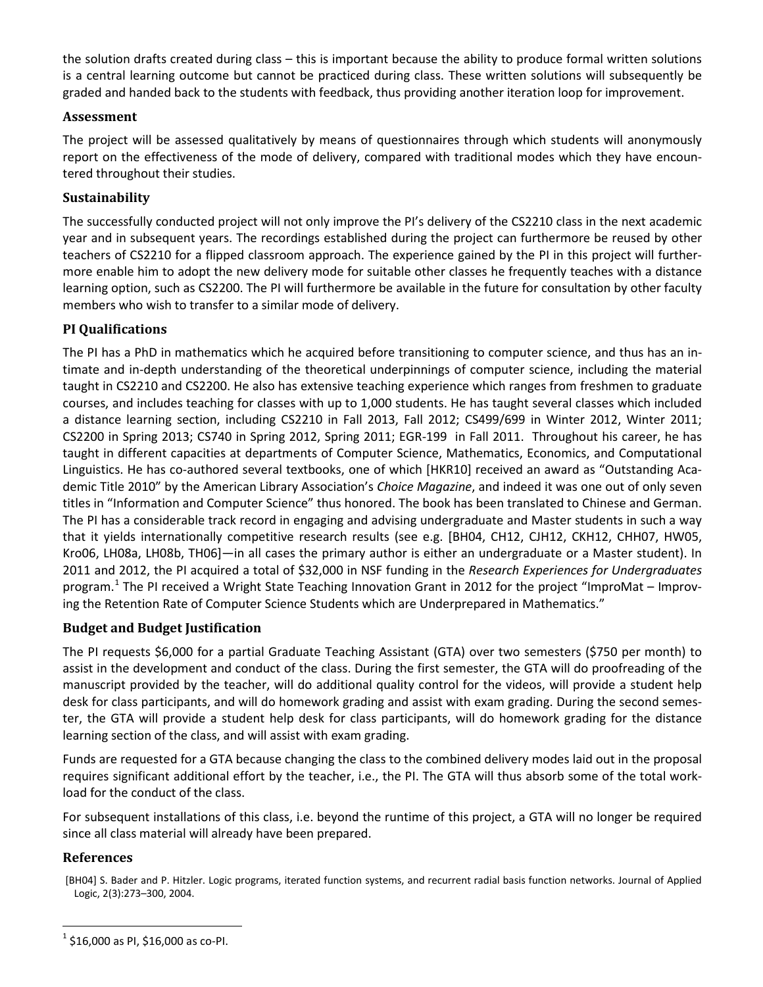the solution drafts created during class – this is important because the ability to produce formal written solutions is a central learning outcome but cannot be practiced during class. These written solutions will subsequently be graded and handed back to the students with feedback, thus providing another iteration loop for improvement.

#### **Assessment**

The project will be assessed qualitatively by means of questionnaires through which students will anonymously report on the effectiveness of the mode of delivery, compared with traditional modes which they have encountered throughout their studies.

### **Sustainability**

The successfully conducted project will not only improve the PI's delivery of the CS2210 class in the next academic year and in subsequent years. The recordings established during the project can furthermore be reused by other teachers of CS2210 for a flipped classroom approach. The experience gained by the PI in this project will furthermore enable him to adopt the new delivery mode for suitable other classes he frequently teaches with a distance learning option, such as CS2200. The PI will furthermore be available in the future for consultation by other faculty members who wish to transfer to a similar mode of delivery.

## **PI Qualifications**

The PI has a PhD in mathematics which he acquired before transitioning to computer science, and thus has an intimate and in-depth understanding of the theoretical underpinnings of computer science, including the material taught in CS2210 and CS2200. He also has extensive teaching experience which ranges from freshmen to graduate courses, and includes teaching for classes with up to 1,000 students. He has taught several classes which included a distance learning section, including CS2210 in Fall 2013, Fall 2012; CS499/699 in Winter 2012, Winter 2011; CS2200 in Spring 2013; CS740 in Spring 2012, Spring 2011; EGR-199 in Fall 2011. Throughout his career, he has taught in different capacities at departments of Computer Science, Mathematics, Economics, and Computational Linguistics. He has co-authored several textbooks, one of which [HKR10] received an award as "Outstanding Academic Title 2010" by the American Library Association's *Choice Magazine*, and indeed it was one out of only seven titles in "Information and Computer Science" thus honored. The book has been translated to Chinese and German. The PI has a considerable track record in engaging and advising undergraduate and Master students in such a way that it yields internationally competitive research results (see e.g. [BH04, CH12, CJH12, CKH12, CHH07, HW05, Kro06, LH08a, LH08b, TH06]—in all cases the primary author is either an undergraduate or a Master student). In 2011 and 2012, the PI acquired a total of \$32,000 in NSF funding in the *Research Experiences for Undergraduates* program.<sup>[1](#page-2-0)</sup> The PI received a Wright State Teaching Innovation Grant in 2012 for the project "ImproMat – Improving the Retention Rate of Computer Science Students which are Underprepared in Mathematics."

## **Budget and Budget Justification**

The PI requests \$6,000 for a partial Graduate Teaching Assistant (GTA) over two semesters (\$750 per month) to assist in the development and conduct of the class. During the first semester, the GTA will do proofreading of the manuscript provided by the teacher, will do additional quality control for the videos, will provide a student help desk for class participants, and will do homework grading and assist with exam grading. During the second semester, the GTA will provide a student help desk for class participants, will do homework grading for the distance learning section of the class, and will assist with exam grading.

Funds are requested for a GTA because changing the class to the combined delivery modes laid out in the proposal requires significant additional effort by the teacher, i.e., the PI. The GTA will thus absorb some of the total workload for the conduct of the class.

For subsequent installations of this class, i.e. beyond the runtime of this project, a GTA will no longer be required since all class material will already have been prepared.

#### **References**

 $\overline{a}$ 

<sup>[</sup>BH04] S. Bader and P. Hitzler. Logic programs, iterated function systems, and recurrent radial basis function networks. Journal of Applied Logic, 2(3):273–300, 2004.

<span id="page-2-0"></span> $^{1}$  \$16,000 as PI, \$16,000 as co-PI.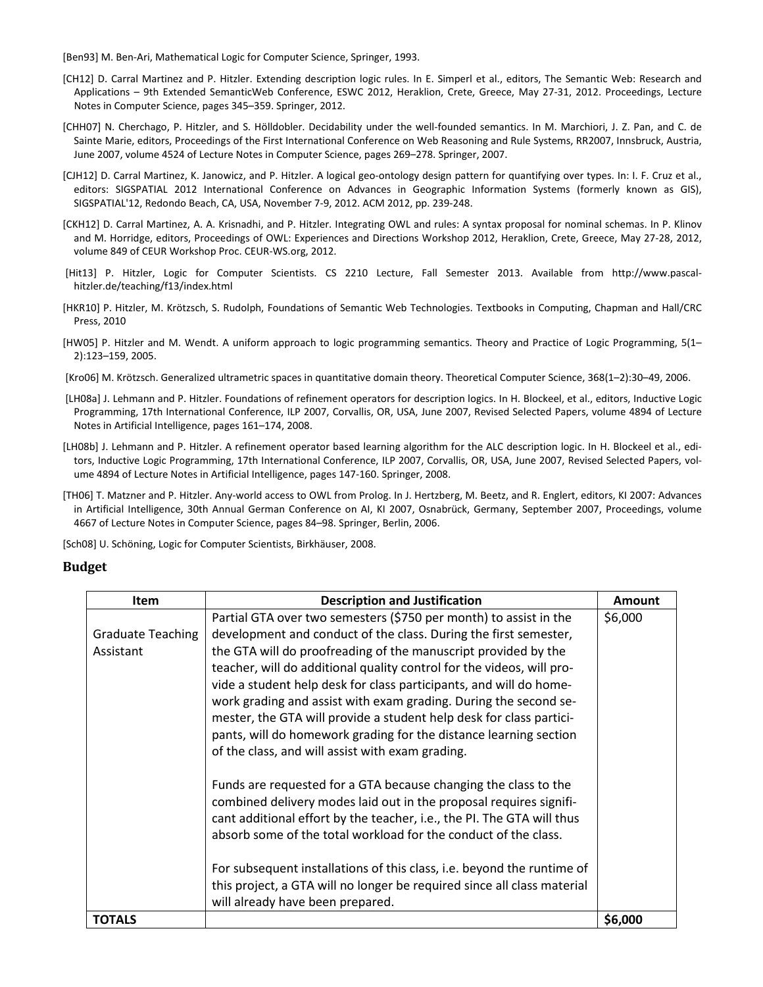[Ben93] M. Ben-Ari, Mathematical Logic for Computer Science, Springer, 1993.

- [CH12] D. Carral Martinez and P. Hitzler. Extending description logic rules. In E. Simperl et al., editors, The Semantic Web: Research and Applications – 9th Extended SemanticWeb Conference, ESWC 2012, Heraklion, Crete, Greece, May 27-31, 2012. Proceedings, Lecture Notes in Computer Science, pages 345–359. Springer, 2012.
- [CHH07] N. Cherchago, P. Hitzler, and S. Hölldobler. Decidability under the well-founded semantics. In M. Marchiori, J. Z. Pan, and C. de Sainte Marie, editors, Proceedings of the First International Conference on Web Reasoning and Rule Systems, RR2007, Innsbruck, Austria, June 2007, volume 4524 of Lecture Notes in Computer Science, pages 269–278. Springer, 2007.
- [CJH12] D. Carral Martinez, K. Janowicz, and P. Hitzler. A logical geo-ontology design pattern for quantifying over types. In: I. F. Cruz et al., editors: SIGSPATIAL 2012 International Conference on Advances in Geographic Information Systems (formerly known as GIS), SIGSPATIAL'12, Redondo Beach, CA, USA, November 7-9, 2012. ACM 2012, pp. 239-248.
- [CKH12] D. Carral Martinez, A. A. Krisnadhi, and P. Hitzler. Integrating OWL and rules: A syntax proposal for nominal schemas. In P. Klinov and M. Horridge, editors, Proceedings of OWL: Experiences and Directions Workshop 2012, Heraklion, Crete, Greece, May 27-28, 2012, volume 849 of CEUR Workshop Proc. CEUR-WS.org, 2012.
- [Hit13] P. Hitzler, Logic for Computer Scientists. CS 2210 Lecture, Fall Semester 2013. Available from http://www.pascalhitzler.de/teaching/f13/index.html
- [HKR10] P. Hitzler, M. Krötzsch, S. Rudolph, Foundations of Semantic Web Technologies. Textbooks in Computing, Chapman and Hall/CRC Press, 2010
- [HW05] P. Hitzler and M. Wendt. A uniform approach to logic programming semantics. Theory and Practice of Logic Programming, 5(1– 2):123–159, 2005.
- [Kro06] M. Krötzsch. Generalized ultrametric spaces in quantitative domain theory. Theoretical Computer Science, 368(1–2):30–49, 2006.
- [LH08a] J. Lehmann and P. Hitzler. Foundations of refinement operators for description logics. In H. Blockeel, et al., editors, Inductive Logic Programming, 17th International Conference, ILP 2007, Corvallis, OR, USA, June 2007, Revised Selected Papers, volume 4894 of Lecture Notes in Artificial Intelligence, pages 161–174, 2008.
- [LH08b] J. Lehmann and P. Hitzler. A refinement operator based learning algorithm for the ALC description logic. In H. Blockeel et al., editors, Inductive Logic Programming, 17th International Conference, ILP 2007, Corvallis, OR, USA, June 2007, Revised Selected Papers, volume 4894 of Lecture Notes in Artificial Intelligence, pages 147-160. Springer, 2008.
- [TH06] T. Matzner and P. Hitzler. Any-world access to OWL from Prolog. In J. Hertzberg, M. Beetz, and R. Englert, editors, KI 2007: Advances in Artificial Intelligence, 30th Annual German Conference on AI, KI 2007, Osnabrück, Germany, September 2007, Proceedings, volume 4667 of Lecture Notes in Computer Science, pages 84–98. Springer, Berlin, 2006.

[Sch08] U. Schöning, Logic for Computer Scientists, Birkhäuser, 2008.

#### **Budget**

| <b>Item</b>              | <b>Description and Justification</b>                                                                                                                                                                                                                                               |         |  |  |
|--------------------------|------------------------------------------------------------------------------------------------------------------------------------------------------------------------------------------------------------------------------------------------------------------------------------|---------|--|--|
|                          | Partial GTA over two semesters (\$750 per month) to assist in the                                                                                                                                                                                                                  | \$6,000 |  |  |
| <b>Graduate Teaching</b> | development and conduct of the class. During the first semester,                                                                                                                                                                                                                   |         |  |  |
| Assistant                | the GTA will do proofreading of the manuscript provided by the                                                                                                                                                                                                                     |         |  |  |
|                          | teacher, will do additional quality control for the videos, will pro-                                                                                                                                                                                                              |         |  |  |
|                          | vide a student help desk for class participants, and will do home-                                                                                                                                                                                                                 |         |  |  |
|                          | work grading and assist with exam grading. During the second se-                                                                                                                                                                                                                   |         |  |  |
|                          | mester, the GTA will provide a student help desk for class partici-                                                                                                                                                                                                                |         |  |  |
|                          | pants, will do homework grading for the distance learning section                                                                                                                                                                                                                  |         |  |  |
|                          | of the class, and will assist with exam grading.                                                                                                                                                                                                                                   |         |  |  |
|                          | Funds are requested for a GTA because changing the class to the<br>combined delivery modes laid out in the proposal requires signifi-<br>cant additional effort by the teacher, i.e., the PI. The GTA will thus<br>absorb some of the total workload for the conduct of the class. |         |  |  |
|                          | For subsequent installations of this class, i.e. beyond the runtime of                                                                                                                                                                                                             |         |  |  |
|                          | this project, a GTA will no longer be required since all class material                                                                                                                                                                                                            |         |  |  |
|                          | will already have been prepared.                                                                                                                                                                                                                                                   |         |  |  |
| <b>TOTALS</b>            |                                                                                                                                                                                                                                                                                    | \$6,000 |  |  |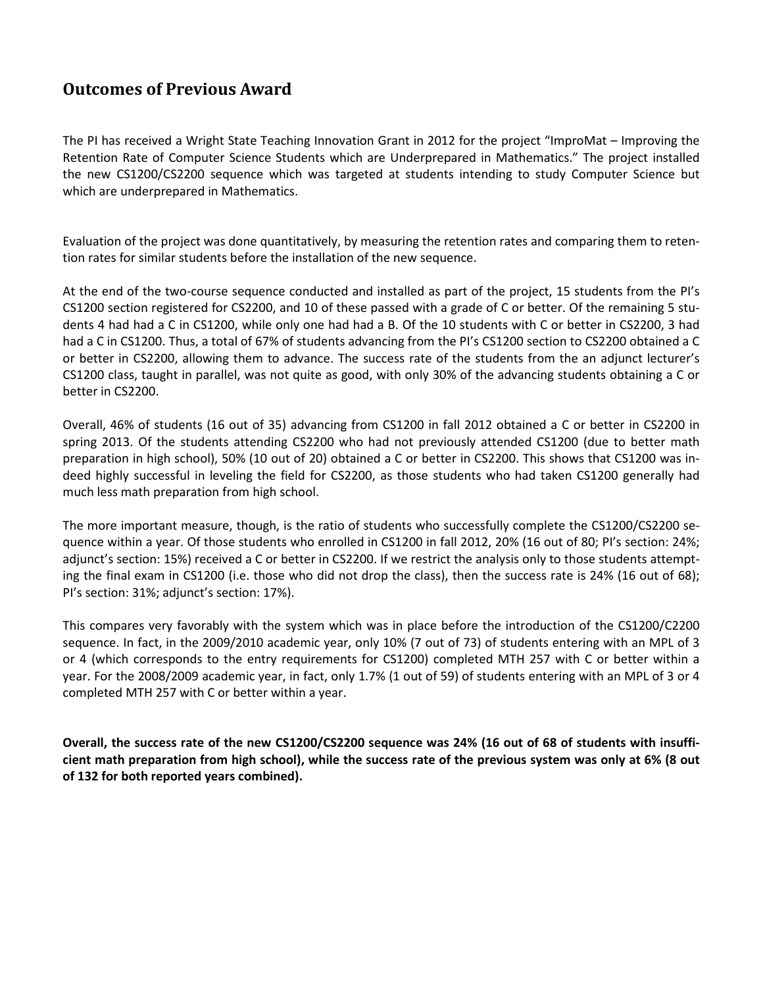# **Outcomes of Previous Award**

The PI has received a Wright State Teaching Innovation Grant in 2012 for the project "ImproMat – Improving the Retention Rate of Computer Science Students which are Underprepared in Mathematics." The project installed the new CS1200/CS2200 sequence which was targeted at students intending to study Computer Science but which are underprepared in Mathematics.

Evaluation of the project was done quantitatively, by measuring the retention rates and comparing them to retention rates for similar students before the installation of the new sequence.

At the end of the two-course sequence conducted and installed as part of the project, 15 students from the PI's CS1200 section registered for CS2200, and 10 of these passed with a grade of C or better. Of the remaining 5 students 4 had had a C in CS1200, while only one had had a B. Of the 10 students with C or better in CS2200, 3 had had a C in CS1200. Thus, a total of 67% of students advancing from the PI's CS1200 section to CS2200 obtained a C or better in CS2200, allowing them to advance. The success rate of the students from the an adjunct lecturer's CS1200 class, taught in parallel, was not quite as good, with only 30% of the advancing students obtaining a C or better in CS2200.

Overall, 46% of students (16 out of 35) advancing from CS1200 in fall 2012 obtained a C or better in CS2200 in spring 2013. Of the students attending CS2200 who had not previously attended CS1200 (due to better math preparation in high school), 50% (10 out of 20) obtained a C or better in CS2200. This shows that CS1200 was indeed highly successful in leveling the field for CS2200, as those students who had taken CS1200 generally had much less math preparation from high school.

The more important measure, though, is the ratio of students who successfully complete the CS1200/CS2200 sequence within a year. Of those students who enrolled in CS1200 in fall 2012, 20% (16 out of 80; PI's section: 24%; adjunct's section: 15%) received a C or better in CS2200. If we restrict the analysis only to those students attempting the final exam in CS1200 (i.e. those who did not drop the class), then the success rate is 24% (16 out of 68); PI's section: 31%; adjunct's section: 17%).

This compares very favorably with the system which was in place before the introduction of the CS1200/C2200 sequence. In fact, in the 2009/2010 academic year, only 10% (7 out of 73) of students entering with an MPL of 3 or 4 (which corresponds to the entry requirements for CS1200) completed MTH 257 with C or better within a year. For the 2008/2009 academic year, in fact, only 1.7% (1 out of 59) of students entering with an MPL of 3 or 4 completed MTH 257 with C or better within a year.

**Overall, the success rate of the new CS1200/CS2200 sequence was 24% (16 out of 68 of students with insufficient math preparation from high school), while the success rate of the previous system was only at 6% (8 out of 132 for both reported years combined).**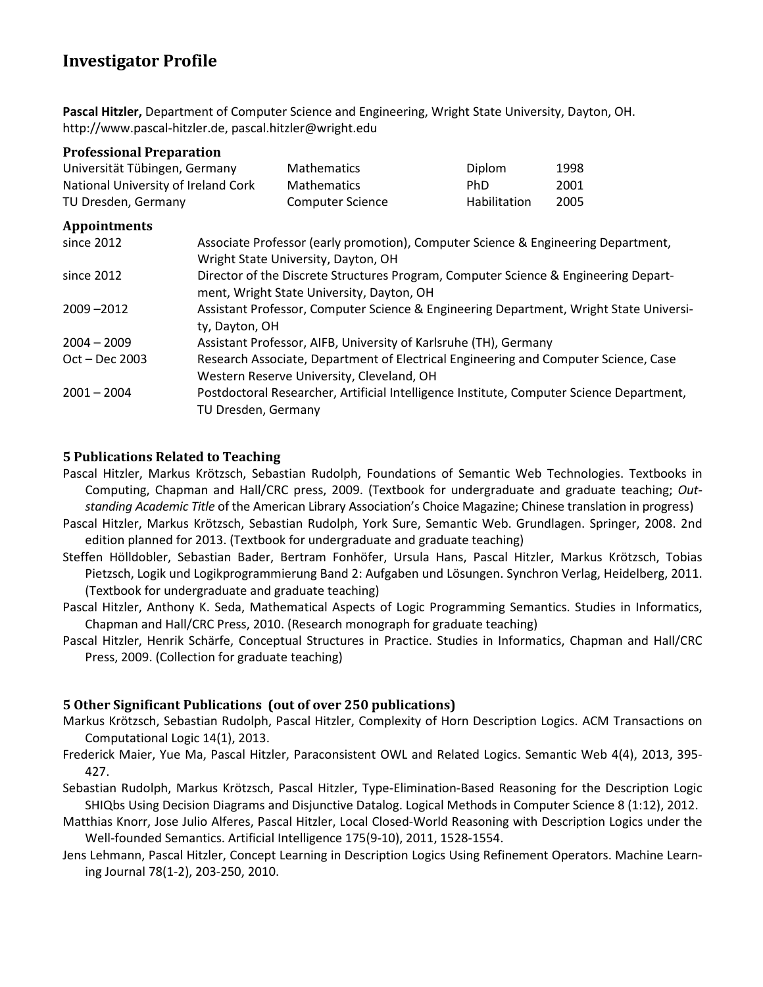# **Investigator Profile**

**Pascal Hitzler,** Department of Computer Science and Engineering, Wright State University, Dayton, OH. http://www.pascal-hitzler.de, pascal.hitzler@wright.edu

| <b>Professional Preparation</b>     |  |                                                                                                                                  |                     |      |  |  |
|-------------------------------------|--|----------------------------------------------------------------------------------------------------------------------------------|---------------------|------|--|--|
| Universität Tübingen, Germany       |  | <b>Mathematics</b>                                                                                                               | Diplom              | 1998 |  |  |
| National University of Ireland Cork |  | <b>Mathematics</b>                                                                                                               | PhD.                | 2001 |  |  |
| TU Dresden, Germany                 |  | <b>Computer Science</b>                                                                                                          | <b>Habilitation</b> | 2005 |  |  |
| <b>Appointments</b>                 |  |                                                                                                                                  |                     |      |  |  |
| since 2012                          |  | Associate Professor (early promotion), Computer Science & Engineering Department,<br>Wright State University, Dayton, OH         |                     |      |  |  |
| since 2012                          |  | Director of the Discrete Structures Program, Computer Science & Engineering Depart-<br>ment, Wright State University, Dayton, OH |                     |      |  |  |
| $2009 - 2012$                       |  | Assistant Professor, Computer Science & Engineering Department, Wright State Universi-<br>ty, Dayton, OH                         |                     |      |  |  |
| $2004 - 2009$                       |  | Assistant Professor, AIFB, University of Karlsruhe (TH), Germany                                                                 |                     |      |  |  |
| $Oct - Dec 2003$                    |  | Research Associate, Department of Electrical Engineering and Computer Science, Case<br>Western Reserve University, Cleveland, OH |                     |      |  |  |
| $2001 - 2004$                       |  | Postdoctoral Researcher, Artificial Intelligence Institute, Computer Science Department,<br>TU Dresden, Germany                  |                     |      |  |  |

#### **5 Publications Related to Teaching**

- Pascal Hitzler, Markus Krötzsch, Sebastian Rudolph, Foundations of Semantic Web Technologies. Textbooks in Computing, Chapman and Hall/CRC press, 2009. (Textbook for undergraduate and graduate teaching; *Outstanding Academic Title* of the American Library Association's Choice Magazine; Chinese translation in progress)
- Pascal Hitzler, Markus Krötzsch, Sebastian Rudolph, York Sure, Semantic Web. Grundlagen. Springer, 2008. 2nd edition planned for 2013. (Textbook for undergraduate and graduate teaching)
- Steffen Hölldobler, Sebastian Bader, Bertram Fonhöfer, Ursula Hans, Pascal Hitzler, Markus Krötzsch, Tobias Pietzsch, Logik und Logikprogrammierung Band 2: Aufgaben und Lösungen. Synchron Verlag, Heidelberg, 2011. (Textbook for undergraduate and graduate teaching)
- Pascal Hitzler, Anthony K. Seda, Mathematical Aspects of Logic Programming Semantics. Studies in Informatics, Chapman and Hall/CRC Press, 2010. (Research monograph for graduate teaching)
- Pascal Hitzler, Henrik Schärfe, Conceptual Structures in Practice. Studies in Informatics, Chapman and Hall/CRC Press, 2009. (Collection for graduate teaching)

#### **5 Other Significant Publications (out of over 250 publications)**

- Markus Krötzsch, Sebastian Rudolph, Pascal Hitzler, Complexity of Horn Description Logics. ACM Transactions on Computational Logic 14(1), 2013.
- Frederick Maier, Yue Ma, Pascal Hitzler, Paraconsistent OWL and Related Logics. Semantic Web 4(4), 2013, 395- 427.
- Sebastian Rudolph, Markus Krötzsch, Pascal Hitzler, Type-Elimination-Based Reasoning for the Description Logic SHIQbs Using Decision Diagrams and Disjunctive Datalog. Logical Methods in Computer Science 8 (1:12), 2012.
- Matthias Knorr, Jose Julio Alferes, Pascal Hitzler, Local Closed-World Reasoning with Description Logics under the Well-founded Semantics. Artificial Intelligence 175(9-10), 2011, 1528-1554.
- Jens Lehmann, Pascal Hitzler, Concept Learning in Description Logics Using Refinement Operators. Machine Learning Journal 78(1-2), 203-250, 2010.